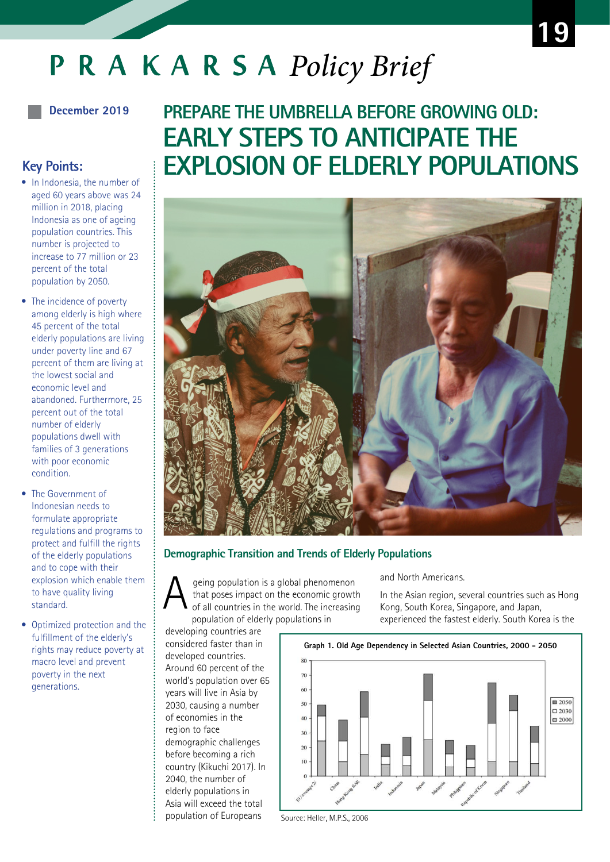# P R A K A R S A Policy Brief

**December 2019**

• In Indonesia, the number of aged 60 years above was 24 million in 2018, placing Indonesia as one of ageing population countries. This number is projected to increase to 77 million or 23 percent of the total population by 2050.  $\bullet$  The incidence of poverty among elderly is high where 45 percent of the total

under poverty line and 67

abandoned. Furthermore, 25 percent out of the total number of elderly populations dwell with families of 3 generations with poor economic

the lowest social and economic level and

condition.

standard.

• Optimized protection and the fulfillment of the elderly's rights may reduce poverty at macro level and prevent poverty in the next generations.

• The Government of Indonesian needs to formulate appropriate regulations and programs to protect and fulfill the rights of the elderly populations and to cope with their explosion which enable them to have quality living

**Key Points:**

# **PREPARE THE UMBRELLA BEFORE GROWING OLD: EARLY STEPS TO ANTICIPATE THE EXPLOSION OF ELDERLY POPULATIONS**



#### **Demographic Transition and Trends of Elderly Populations**

geing population is a global phenomenon that poses impact on the economic growth of all countries in the world. The increasing population of elderly populations in A

and North Americans.

In the Asian region, several countries such as Hong Kong, South Korea, Singapore, and Japan, experienced the fastest elderly. South Korea is the

developing countries are considered faster than in developed countries. Around 60 percent of the world's population over 65 years will live in Asia by 2030, causing a number of economies in the region to face demographic challenges before becoming a rich country (Kikuchi 2017). In 2040, the number of elderly populations in Asia will exceed the total population of Europeans



Source: Heller, M.P.S., 2006

**19**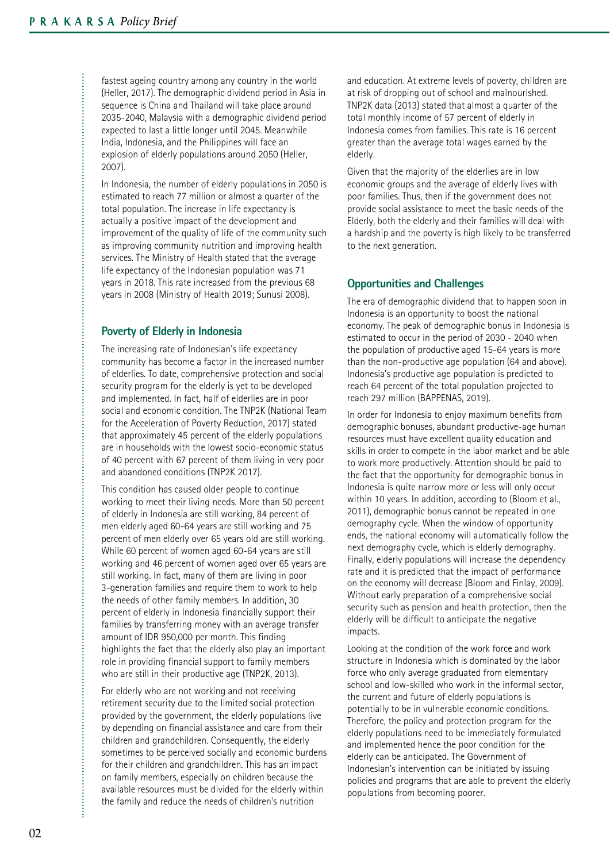**..............** 

fastest ageing country among any country in the world (Heller, 2017). The demographic dividend period in Asia in sequence is China and Thailand will take place around 2035-2040, Malaysia with a demographic dividend period expected to last a little longer until 2045. Meanwhile India, Indonesia, and the Philippines will face an explosion of elderly populations around 2050 (Heller, 2007).

In Indonesia, the number of elderly populations in 2050 is estimated to reach 77 million or almost a quarter of the total population. The increase in life expectancy is actually a positive impact of the development and improvement of the quality of life of the community such as improving community nutrition and improving health services. The Ministry of Health stated that the average life expectancy of the Indonesian population was 71 years in 2018. This rate increased from the previous 68 years in 2008 (Ministry of Health 2019; Sunusi 2008).

# **Poverty of Elderly in Indonesia**

The increasing rate of Indonesian's life expectancy community has become a factor in the increased number of elderlies. To date, comprehensive protection and social security program for the elderly is yet to be developed and implemented. In fact, half of elderlies are in poor social and economic condition. The TNP2K (National Team for the Acceleration of Poverty Reduction, 2017) stated that approximately 45 percent of the elderly populations are in households with the lowest socio-economic status of 40 percent with 67 percent of them living in very poor and abandoned conditions (TNP2K 2017).

This condition has caused older people to continue working to meet their living needs. More than 50 percent of elderly in Indonesia are still working, 84 percent of men elderly aged 60-64 years are still working and 75 percent of men elderly over 65 years old are still working. While 60 percent of women aged 60-64 years are still working and 46 percent of women aged over 65 years are still working. In fact, many of them are living in poor 3-generation families and require them to work to help the needs of other family members. In addition, 30 percent of elderly in Indonesia financially support their families by transferring money with an average transfer amount of IDR 950,000 per month. This finding highlights the fact that the elderly also play an important role in providing financial support to family members who are still in their productive age (TNP2K, 2013).

For elderly who are not working and not receiving retirement security due to the limited social protection provided by the government, the elderly populations live by depending on financial assistance and care from their children and grandchildren. Consequently, the elderly sometimes to be perceived socially and economic burdens for their children and grandchildren. This has an impact on family members, especially on children because the available resources must be divided for the elderly within the family and reduce the needs of children's nutrition

and education. At extreme levels of poverty, children are at risk of dropping out of school and malnourished. TNP2K data (2013) stated that almost a quarter of the total monthly income of 57 percent of elderly in Indonesia comes from families. This rate is 16 percent greater than the average total wages earned by the elderly.

Given that the majority of the elderlies are in low economic groups and the average of elderly lives with poor families. Thus, then if the government does not provide social assistance to meet the basic needs of the Elderly, both the elderly and their families will deal with a hardship and the poverty is high likely to be transferred to the next generation.

# **Opportunities and Challenges**

The era of demographic dividend that to happen soon in Indonesia is an opportunity to boost the national economy. The peak of demographic bonus in Indonesia is estimated to occur in the period of 2030 - 2040 when the population of productive aged 15-64 years is more than the non-productive age population (64 and above). Indonesia's productive age population is predicted to reach 64 percent of the total population projected to reach 297 million (BAPPENAS, 2019).

In order for Indonesia to enjoy maximum benefits from demographic bonuses, abundant productive-age human resources must have excellent quality education and skills in order to compete in the labor market and be able to work more productively. Attention should be paid to the fact that the opportunity for demographic bonus in Indonesia is quite narrow more or less will only occur within 10 years. In addition, according to (Bloom et al., 2011), demographic bonus cannot be repeated in one demography cycle. When the window of opportunity ends, the national economy will automatically follow the next demography cycle, which is elderly demography. Finally, elderly populations will increase the dependency rate and it is predicted that the impact of performance on the economy will decrease (Bloom and Finlay, 2009). Without early preparation of a comprehensive social security such as pension and health protection, then the elderly will be difficult to anticipate the negative impacts.

Looking at the condition of the work force and work structure in Indonesia which is dominated by the labor force who only average graduated from elementary school and low-skilled who work in the informal sector, the current and future of elderly populations is potentially to be in vulnerable economic conditions. Therefore, the policy and protection program for the elderly populations need to be immediately formulated and implemented hence the poor condition for the elderly can be anticipated. The Government of Indonesian's intervention can be initiated by issuing policies and programs that are able to prevent the elderly populations from becoming poorer.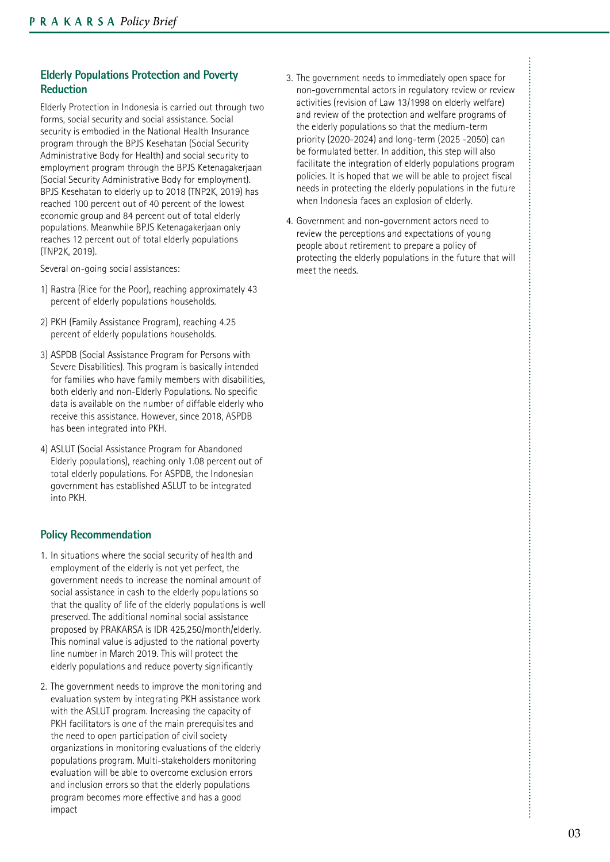# **Elderly Populations Protection and Poverty Reduction**

Elderly Protection in Indonesia is carried out through two forms, social security and social assistance. Social security is embodied in the National Health Insurance program through the BPJS Kesehatan (Social Security Administrative Body for Health) and social security to employment program through the BPJS Ketenagakerjaan (Social Security Administrative Body for employment). BPJS Kesehatan to elderly up to 2018 (TNP2K, 2019) has reached 100 percent out of 40 percent of the lowest economic group and 84 percent out of total elderly populations. Meanwhile BPJS Ketenagakerjaan only reaches 12 percent out of total elderly populations (TNP2K, 2019).

Several on-going social assistances:

- 1) Rastra (Rice for the Poor), reaching approximately 43 percent of elderly populations households.
- 2) PKH (Family Assistance Program), reaching 4.25 percent of elderly populations households.
- 3) ASPDB (Social Assistance Program for Persons with Severe Disabilities). This program is basically intended for families who have family members with disabilities, both elderly and non-Elderly Populations. No specific data is available on the number of diffable elderly who receive this assistance. However, since 2018, ASPDB has been integrated into PKH.
- 4) ASLUT (Social Assistance Program for Abandoned Elderly populations), reaching only 1.08 percent out of total elderly populations. For ASPDB, the Indonesian government has established ASLUT to be integrated into PKH.

#### **Policy Recommendation**

- 1. In situations where the social security of health and employment of the elderly is not yet perfect, the government needs to increase the nominal amount of social assistance in cash to the elderly populations so that the quality of life of the elderly populations is well preserved. The additional nominal social assistance proposed by PRAKARSA is IDR 425,250/month/elderly. This nominal value is adjusted to the national poverty line number in March 2019. This will protect the elderly populations and reduce poverty significantly
- 2. The government needs to improve the monitoring and evaluation system by integrating PKH assistance work with the ASLUT program. Increasing the capacity of PKH facilitators is one of the main prerequisites and the need to open participation of civil society organizations in monitoring evaluations of the elderly populations program. Multi-stakeholders monitoring evaluation will be able to overcome exclusion errors and inclusion errors so that the elderly populations program becomes more effective and has a good impact
- 3. The government needs to immediately open space for non-governmental actors in regulatory review or review activities (revision of Law 13/1998 on elderly welfare) and review of the protection and welfare programs of the elderly populations so that the medium-term priority (2020-2024) and long-term (2025 -2050) can be formulated better. In addition, this step will also facilitate the integration of elderly populations program policies. It is hoped that we will be able to project fiscal needs in protecting the elderly populations in the future when Indonesia faces an explosion of elderly.
- 4. Government and non-government actors need to review the perceptions and expectations of young people about retirement to prepare a policy of protecting the elderly populations in the future that will meet the needs.